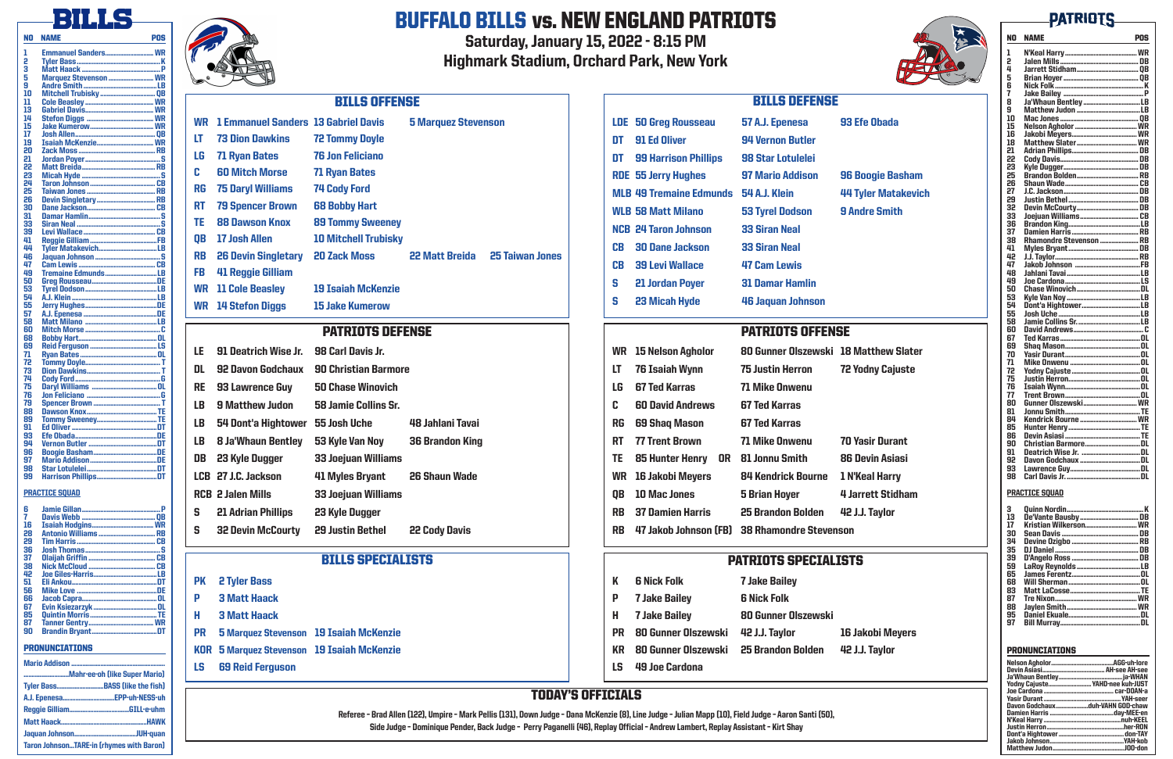## PATRIOTS OFFENSE

|           | <b>WR</b> 15 Nelson Agholor                  | 80 Gunner Olszewski 18 M  |                  |
|-----------|----------------------------------------------|---------------------------|------------------|
| LT        | <b>76 Isaiah Wynn</b>                        | <b>75 Justin Herron</b>   | <b>72 Y</b>      |
| LG        | <b>67 Ted Karras</b>                         | <b>71 Mike Onwenu</b>     |                  |
| C         | <b>60 David Andrews</b>                      | <b>67 Ted Karras</b>      |                  |
| RG        | <b>69 Shaq Mason</b>                         | <b>67 Ted Karras</b>      |                  |
| RT.       | <b>77 Trent Brown</b>                        | <b>71 Mike Onwenu</b>     | 70 Y             |
| TE .      | <b>85 Hunter Henry</b>                       | OR 81 Jonnu Smith         | 86D              |
| <b>WR</b> | 16 Jakobi Meyers                             | <b>84 Kendrick Bourne</b> | 1 N <sup>1</sup> |
| QB        | <b>10 Mac Jones</b>                          | <b>5 Brian Hoyer</b>      | 4 Jar            |
| <b>RB</b> | <b>37 Damien Harris</b>                      | <b>25 Brandon Bolden</b>  | 42 J.            |
| RB.       | 47 Jakob Johnson (FB) 38 Rhamondre Stevenson |                           |                  |

# BILLS SPECIALISTS PATRIOTS SPECIALISTS

# TODAY'S OFFICIALS

Referee – Brad Allen (122), Umpire – Mark Pellis (131), Down Judge – Dana McKenzie (8), Line Judge – Julian Mapp (10), Field Judge – Aaron Santi (50), Side Judge – Dominique Pender, Back Judge – Perry Paganelli (46), Replay Official – Andrew Lambert, Replay Assistant – Kirt Shay



## **Matthew Slater** Yodny Cajuste

*<u>Asir Durant</u>* 

Devin Asiasi

Keal Harry

**Irrett Stidham** 

**J.J. Taylor** 

## akobi Meyers **J. Taylor**

# **PATRIOTS**

# BILLS

NO NAME POS

# PATRIOTS DEFENSE

| LE. | 91 Deatrich Wise Jr.      | 98 Carl Davis Jr.             |                        |
|-----|---------------------------|-------------------------------|------------------------|
| DL  | <b>92 Davon Godchaux</b>  | <b>90 Christian Barmore</b>   |                        |
| RE  | 93 Lawrence Guy           | <b>50 Chase Winovich</b>      |                        |
| LB  | <b>9 Matthew Judon</b>    | 58 Jamie Collins Sr.          |                        |
| LB  | 54 Dont'a Hightower       | 55 Josh Uche                  | 48 Jahlani Tavai       |
| LB  | <b>8 Ja'Whaun Bentley</b> | 53 Kyle Van Noy               | <b>36 Brandon King</b> |
| DB  | 23 Kyle Dugger            | <b>33 Joejuan Williams</b>    |                        |
|     | LCB 27 J.C. Jackson       | 41 Myles Bryant 26 Shaun Wade |                        |
|     | <b>RCB 2 Jalen Mills</b>  | <b>33 Joejuan Williams</b>    |                        |
| S   | <b>21 Adrian Phillips</b> | 23 Kyle Dugger                |                        |
| S   | <b>32 Devin McCourty</b>  | <b>29 Justin Bethel</b>       | <b>22 Cody Davis</b>   |

|    | <b>K 6 Nick Folk</b>                  | <b>7 Jake Bailey</b>       |        |
|----|---------------------------------------|----------------------------|--------|
|    | P 7 Jake Bailey                       | <b>6 Nick Folk</b>         |        |
|    | <b>H</b> 7 Jake Bailey                | <b>80 Gunner Olszewski</b> |        |
|    | PR 80 Gunner Olszewski 42 J.J. Taylor |                            | 16 Ja  |
| KR | 80 Gunner Olszewski 25 Brandon Bolden |                            | 42 J., |
|    | LS 49 Joe Cardona                     |                            |        |

|           | WR 1 Emmanuel Sanders 13 Gabriel Davis |                             | <b>5 Marquez Stevenson</b>                      |  |
|-----------|----------------------------------------|-----------------------------|-------------------------------------------------|--|
| LT        | <b>73 Dion Dawkins</b>                 | <b>72 Tommy Doyle</b>       |                                                 |  |
| LG        | <b>71 Ryan Bates</b>                   | <b>76 Jon Feliciano</b>     |                                                 |  |
| C.        | <b>60 Mitch Morse</b>                  | <b>71 Ryan Bates</b>        |                                                 |  |
| RG        | <b>75 Daryl Williams</b>               | <b>74 Cody Ford</b>         |                                                 |  |
| RT        | <b>79 Spencer Brown</b>                | <b>68 Bobby Hart</b>        |                                                 |  |
| TE        | <b>88 Dawson Knox</b>                  | <b>89 Tommy Sweeney</b>     |                                                 |  |
| QB        | <b>17 Josh Allen</b>                   | <b>10 Mitchell Trubisky</b> |                                                 |  |
| <b>RB</b> | <b>26 Devin Singletary</b>             | <b>20 Zack Moss</b>         | <b>25 Taiwan Jones</b><br><b>22 Matt Breida</b> |  |
| <b>FB</b> | <b>41 Reggie Gilliam</b>               |                             |                                                 |  |
|           | <b>WR</b> 11 Cole Beasley              | <b>19 Isaiah McKenzie</b>   |                                                 |  |
|           | <b>WR</b> 14 Stefon Diggs              | <b>15 Jake Kumerow</b>      |                                                 |  |

# BILLS OFFENSE BILLS DEFENSE LDE 50 Greg Rousseau 57 A.J. Epenesa 93 Efe Obada DT 91 Ed Oliver 94 Vernon Butler DT 99 Harrison Phillips 98 Star Lotulelei RDE 55 Jerry Hughes 97 Mario Addison 96 Boogie Basham MLB 49 Tremaine Edmunds 54 A.J. Klein 44 Tyler Matakevich WLB 58 Matt Milano 53 Tyrel Dodson 9 Andre Smith NCB 24 Taron Johnson 33 Siran Neal CB 30 Dane Jackson 33 Siran Neal CB 39 Levi Wallace 47 Cam Lewis S 21 Jordan Poyer 31 Damar Hamlin S 23 Micah Hyde 46 Jaquan Johnson

| ı       | <b>Emmanuel Sanders</b> WR |
|---------|----------------------------|
| 2       |                            |
| 3       |                            |
| 5       | Marquez Stevenson  WR      |
| 9       |                            |
|         |                            |
| 10      |                            |
| 11      |                            |
| 13      |                            |
| 14      |                            |
| 15      |                            |
| .<br>17 |                            |
| 19      |                            |
| 20      |                            |
|         |                            |
| 21      |                            |
| 22      |                            |
| 23      |                            |
| 24      |                            |
| 25      |                            |
| 26      |                            |
| 30      |                            |
|         |                            |
| 31      |                            |
| 33      |                            |
| 39      |                            |
| 41      |                            |
| 44      |                            |
| 46      |                            |
| 47      |                            |
| 49      |                            |
|         |                            |
| 50      |                            |
| 53      |                            |
| 54      |                            |
| 55      |                            |
| 57      |                            |
| 58      |                            |
| 60      |                            |
| 68      |                            |
| 69      |                            |
|         |                            |
| 71      |                            |
| 72      |                            |
| 73      |                            |
| 74      |                            |
| 75      |                            |
| 76      |                            |
| 79      |                            |
| 88      |                            |
|         |                            |
| 89      |                            |
| 91      |                            |
| 93      |                            |
| 94      |                            |
| 96      |                            |
| 97      |                            |
| 98      |                            |
|         |                            |

| 42 – JUB GIIBS MAITIS<br><b>PK</b><br><b>2 Tyler Bass</b><br>Eli Ankou                  | <b>6 Nick Folk</b><br><b>7 Jake Bailey</b>                                  | James Ferentz<br>DJ.<br>68<br>Will Sherman<br>83           |
|-----------------------------------------------------------------------------------------|-----------------------------------------------------------------------------|------------------------------------------------------------|
| Mike Love<br><b>3 Matt Haack</b><br>Ð<br>Jacob Capra<br>Evin Ksiezarzyk                 | <b>6 Nick Folk</b><br><b>7 Jake Bailey</b>                                  | Matt LaCosse…<br>Tre Nixon                                 |
| <b>Ouintin Morris</b><br>Н<br><b>3 Matt Haack</b><br><b>Tanner Gentry</b>               | <b>80 Gunner Olszewski</b><br><b>7 Jake Bailey</b>                          | Jaylen Smith<br>Daniel Ekuale<br>97 Bill Murray            |
| <b>Brandin Bryant</b><br>5 Marquez Stevenson 19 Isaiah McKenzie<br><b>PR</b>            | <b>PR</b> 80 Gunner Olszewski<br><b>16 Jakobi Meyers</b><br>42 J.J. Taylor  |                                                            |
| <b>PRONUNCIATIONS</b><br><b>KOR</b> 5 Marquez Stevenson 19 Isaiah McKenzie              | 42 J.J. Tavlor<br><b>25 Brandon Bolden</b><br><b>KR</b> 80 Gunner Olszewski | <b>PRONUNCIATIONS</b>                                      |
| <b>Mario Addison</b><br>LS.<br><b>69 Reid Ferguson</b><br>Mahr-ee-oh (like Super Mario) | 49 Joe Cardona<br>LS I                                                      | Nelson Agholor<br>Devin Asiasi<br><b>Jollahoun Dontloy</b> |

### PRACTICE SQUAD

99 Harrison Phillips

| 6  |                             | р |
|----|-----------------------------|---|
| 7  |                             |   |
| 16 |                             |   |
| 28 | <b>Antonio Williams  RB</b> |   |
| 29 |                             |   |
| 36 |                             |   |
| 37 |                             |   |
| 38 |                             |   |
| 42 |                             |   |
| 51 |                             |   |
| 56 |                             |   |
| 66 |                             |   |
| 67 |                             |   |
| 85 |                             |   |
| 87 |                             |   |
| 90 |                             |   |
|    |                             |   |

| Yodny Cajuste YAHD-nee kuh-JUST |  |
|---------------------------------|--|
|                                 |  |
|                                 |  |
| Davon Godchauxduh-VAHN GOD-chaw |  |
|                                 |  |
|                                 |  |
|                                 |  |
|                                 |  |
|                                 |  |
|                                 |  |

# BUFFALO BILLS vs. NEW ENGLAND PATRIOTS

Saturday, January 15, 2022 - 8:15 PM Highmark Stadium, Orchard Park, New York

| N0 | <b>NAME</b>         | POS |
|----|---------------------|-----|
| ı  |                     |     |
| 5  |                     |     |
| 4  |                     |     |
| 5  |                     |     |
| R  |                     |     |
| 7  |                     |     |
| 8  |                     |     |
| g  |                     |     |
|    |                     |     |
| 10 |                     |     |
| 15 |                     |     |
| 16 |                     |     |
| 18 |                     |     |
| 21 |                     |     |
| 55 |                     |     |
| 23 |                     |     |
| 25 |                     |     |
| 26 |                     |     |
| 27 |                     |     |
| 29 |                     |     |
| 32 |                     |     |
| 33 |                     |     |
| 36 |                     |     |
| 37 |                     |     |
| 38 |                     |     |
| 41 |                     |     |
| 42 |                     |     |
| 47 |                     |     |
| 48 |                     |     |
| 49 |                     |     |
| 50 |                     |     |
| 53 |                     |     |
| 54 |                     |     |
| 55 |                     |     |
| 58 |                     |     |
| 60 |                     |     |
| 67 |                     |     |
| 69 |                     |     |
| 70 |                     |     |
| 71 |                     |     |
| 72 |                     |     |
| 75 |                     |     |
| 76 |                     |     |
| 77 |                     |     |
| 8N |                     |     |
| 81 |                     |     |
| 84 |                     |     |
| 85 |                     |     |
| 86 |                     |     |
| 90 | Christian BarmoreDL |     |
| 91 |                     |     |
| 92 |                     |     |
| 93 |                     |     |
| 98 |                     |     |
|    |                     |     |

### PRACTICE SQUAD

| 3  |                       |  |
|----|-----------------------|--|
| 13 |                       |  |
| 17 | Kristian Wilkerson WR |  |
| 30 |                       |  |
| 34 |                       |  |
| 35 |                       |  |
| 39 |                       |  |
| 59 |                       |  |
| 65 |                       |  |
| 68 |                       |  |
| 83 |                       |  |
| 87 |                       |  |
| 88 |                       |  |
| 95 |                       |  |
| 97 |                       |  |
|    |                       |  |

| Mahr-ee-oh (like Super Mario)                   |  |
|-------------------------------------------------|--|
| Tyler BassBASS (like the fish)                  |  |
| A.J. EpenesaEPP-uh-NESS-uh                      |  |
|                                                 |  |
|                                                 |  |
|                                                 |  |
| <b>Taron JohnsonTARE-in (rhymes with Baron)</b> |  |



FB